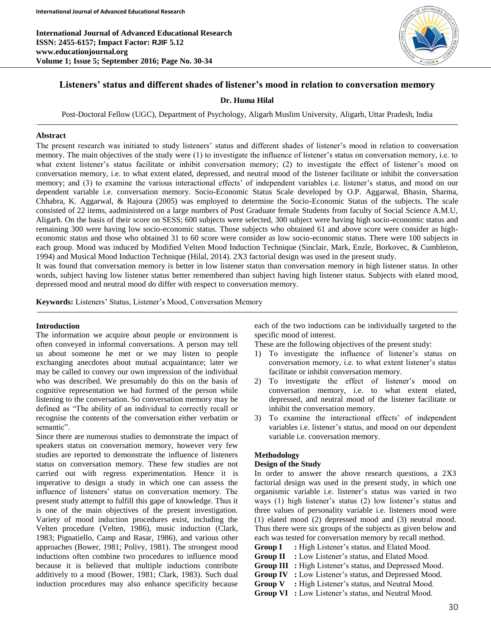**International Journal of Advanced Educational Research ISSN: 2455-6157; Impact Factor: RJIF 5.12 www.educationjournal.org Volume 1; Issue 5; September 2016; Page No. 30-34**



# **Listeners' status and different shades of listener's mood in relation to conversation memory**

### **Dr. Huma Hilal**

Post-Doctoral Fellow (UGC), Department of Psychology, Aligarh Muslim University, Aligarh, Uttar Pradesh, India

#### **Abstract**

The present research was initiated to study listeners' status and different shades of listener's mood in relation to conversation memory. The main objectives of the study were (1) to investigate the influence of listener's status on conversation memory, i.e. to what extent listener's status facilitate or inhibit conversation memory; (2) to investigate the effect of listener's mood on conversation memory, i.e. to what extent elated, depressed, and neutral mood of the listener facilitate or inhibit the conversation memory; and (3) to examine the various interactional effects' of independent variables i.e. listener's status, and mood on our dependent variable i.e. conversation memory. Socio-Economic Status Scale developed by O.P. Aggarwal, Bhasin, Sharma, Chhabra, K. Aggarwal, & Rajoura (2005) was employed to determine the Socio-Economic Status of the subjects. The scale consisted of 22 items, aadministered on a large numbers of Post Graduate female Students from faculty of Social Science A.M.U, Aligarh. On the basis of their score on SESS; 600 subjects were selected, 300 subject were having high socio-economic status and remaining 300 were having low socio-economic status. Those subjects who obtained 61 and above score were consider as higheconomic status and those who obtained 31 to 60 score were consider as low socio-economic status. There were 100 subjects in each group. Mood was induced by Modified Velten Mood Induction Technique (Sinclair, Mark, Enzle, Borkovec, & Cumbleton, 1994) and Musical Mood Induction Technique (Hilal, 2014). 2X3 factorial design was used in the present study.

It was found that conversation memory is better in low listener status than conversation memory in high listener status. In other words, subject having low listener status better remembered than subject having high listener status. Subjects with elated mood, depressed mood and neutral mood do differ with respect to conversation memory.

**Keywords:** Listeners' Status, Listener's Mood, Conversation Memory

#### **Introduction**

The information we acquire about people or environment is often conveyed in informal conversations. A person may tell us about someone he met or we may listen to people exchanging anecdotes about mutual acquaintance; later we may be called to convey our own impression of the individual who was described. We presumably do this on the basis of cognitive representation we had formed of the person while listening to the conversation. So conversation memory may be defined as "The ability of an individual to correctly recall or recognise the contents of the conversation either verbatim or semantic".

Since there are numerous studies to demonstrate the impact of speakers status on conversation memory, however very few studies are reported to demonstrate the influence of listeners status on conversation memory. These few studies are not carried out with regress experimentation. Hence it is imperative to design a study in which one can assess the influence of listeners' status on conversation memory. The present study attempt to fulfill this gape of knowledge. Thus it is one of the main objectives of the present investigation. Variety of mood induction procedures exist, including the Velten procedure (Velten, 1986), music induction (Clark, 1983; Pignatiello, Camp and Rasar, 1986), and various other approaches (Bower, 1981; Polivy, 1981). The strongest mood inductions often combine two procedures to influence mood because it is believed that multiple inductions contribute additively to a mood (Bower, 1981; Clark, 1983). Such dual induction procedures may also enhance specificity because

each of the two inductions can be individually targeted to the specific mood of interest.

These are the following objectives of the present study:

- 1) To investigate the influence of listener's status on conversation memory, i.e. to what extent listener's status facilitate or inhibit conversation memory.
- 2) To investigate the effect of listener's mood on conversation memory, i.e. to what extent elated, depressed, and neutral mood of the listener facilitate or inhibit the conversation memory.
- 3) To examine the interactional effects' of independent variables i.e. listener's status, and mood on our dependent variable i.e. conversation memory.

#### **Methodology**

#### **Design of the Study**

In order to answer the above research questions, a 2X3 factorial design was used in the present study, in which one organismic variable i.e. listener's status was varied in two ways (1) high listener's status (2) low listener's status and three values of personality variable i.e. listeners mood were (1) elated mood (2) depressed mood and (3) neutral mood. Thus there were six groups of the subjects as given below and each was tested for conversation memory by recall method.

- **Group I :** High Listener's status, and Elated Mood.
- **Group II :** Low Listener's status, and Elated Mood.
- **Group III :** High Listener's status, and Depressed Mood.
- **Group IV :** Low Listener's status, and Depressed Mood.
- **Group V :** High Listener's status, and Neutral Mood.
- **Group VI :** Low Listener's status, and Neutral Mood.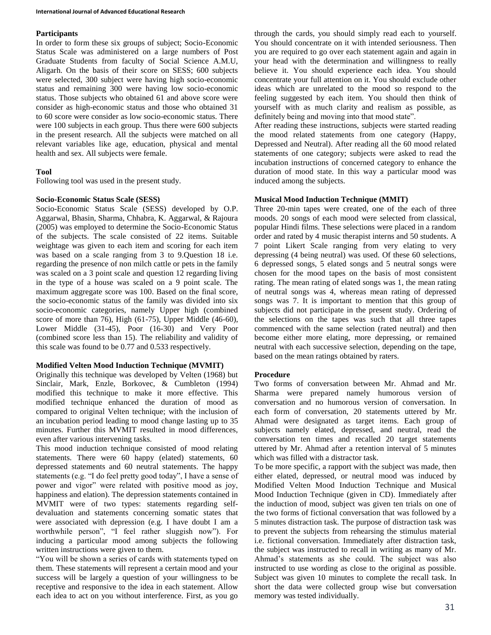## **Participants**

In order to form these six groups of subject; Socio-Economic Status Scale was administered on a large numbers of Post Graduate Students from faculty of Social Science A.M.U, Aligarh. On the basis of their score on SESS; 600 subjects were selected, 300 subject were having high socio-economic status and remaining 300 were having low socio-economic status. Those subjects who obtained 61 and above score were consider as high-economic status and those who obtained 31 to 60 score were consider as low socio-economic status. There were 100 subjects in each group. Thus there were 600 subjects in the present research. All the subjects were matched on all relevant variables like age, education, physical and mental health and sex. All subjects were female.

# **Tool**

Following tool was used in the present study.

## **Socio-Economic Status Scale (SESS)**

Socio-Economic Status Scale (SESS) developed by O.P. Aggarwal, Bhasin, Sharma, Chhabra, K. Aggarwal, & Rajoura (2005) was employed to determine the Socio-Economic Status of the subjects. The scale consisted of 22 items. Suitable weightage was given to each item and scoring for each item was based on a scale ranging from 3 to 9.Question 18 i.e. regarding the presence of non milch cattle or pets in the family was scaled on a 3 point scale and question 12 regarding living in the type of a house was scaled on a 9 point scale. The maximum aggregate score was 100. Based on the final score, the socio-economic status of the family was divided into six socio-economic categories, namely Upper high (combined score of more than 76), High (61-75), Upper Middle (46-60), Lower Middle (31-45), Poor (16-30) and Very Poor (combined score less than 15). The reliability and validity of this scale was found to be 0.77 and 0.533 respectively.

## **Modified Velten Mood Induction Technique (MVMIT)**

Originally this technique was developed by Velten (1968) but Sinclair, Mark, Enzle, Borkovec, & Cumbleton (1994) modified this technique to make it more effective. This modified technique enhanced the duration of mood as compared to original Velten technique; with the inclusion of an incubation period leading to mood change lasting up to 35 minutes. Further this MVMIT resulted in mood differences, even after various intervening tasks.

This mood induction technique consisted of mood relating statements. There were 60 happy (elated) statements, 60 depressed statements and 60 neutral statements. The happy statements (e.g. "I do feel pretty good today", I have a sense of power and vigor" were related with positive mood as joy, happiness and elation). The depression statements contained in MVMIT were of two types: statements regarding selfdevaluation and statements concerning somatic states that were associated with depression (e.g. I have doubt I am a worthwhile person", "I feel rather sluggish now"). For inducing a particular mood among subjects the following written instructions were given to them.

"You will be shown a series of cards with statements typed on them. These statements will represent a certain mood and your success will be largely a question of your willingness to be receptive and responsive to the idea in each statement. Allow each idea to act on you without interference. First, as you go

through the cards, you should simply read each to yourself. You should concentrate on it with intended seriousness. Then you are required to go over each statement again and again in your head with the determination and willingness to really believe it. You should experience each idea. You should concentrate your full attention on it. You should exclude other ideas which are unrelated to the mood so respond to the feeling suggested by each item. You should then think of yourself with as much clarity and realism as possible, as definitely being and moving into that mood state".

After reading these instructions, subjects were started reading the mood related statements from one category (Happy, Depressed and Neutral). After reading all the 60 mood related statements of one category; subjects were asked to read the incubation instructions of concerned category to enhance the duration of mood state. In this way a particular mood was induced among the subjects.

## **Musical Mood Induction Technique (MMIT)**

Three 20-min tapes were created, one of the each of three moods. 20 songs of each mood were selected from classical, popular Hindi films. These selections were placed in a random order and rated by 4 music therapist interns and 50 students. A 7 point Likert Scale ranging from very elating to very depressing (4 being neutral) was used. Of these 60 selections, 6 depressed songs, 5 elated songs and 5 neutral songs were chosen for the mood tapes on the basis of most consistent rating. The mean rating of elated songs was 1, the mean rating of neutral songs was 4, whereas mean rating of depressed songs was 7. It is important to mention that this group of subjects did not participate in the present study. Ordering of the selections on the tapes was such that all three tapes commenced with the same selection (rated neutral) and then become either more elating, more depressing, or remained neutral with each successive selection, depending on the tape, based on the mean ratings obtained by raters.

## **Procedure**

Two forms of conversation between Mr. Ahmad and Mr. Sharma were prepared namely humorous version of conversation and no humorous version of conversation. In each form of conversation, 20 statements uttered by Mr. Ahmad were designated as target items. Each group of subjects namely elated, depressed, and neutral, read the conversation ten times and recalled 20 target statements uttered by Mr. Ahmad after a retention interval of 5 minutes which was filled with a distractor task.

To be more specific, a rapport with the subject was made, then either elated, depressed, or neutral mood was induced by Modified Velten Mood Induction Technique and Musical Mood Induction Technique (given in CD). Immediately after the induction of mood, subject was given ten trials on one of the two forms of fictional conversation that was followed by a 5 minutes distraction task. The purpose of distraction task was to prevent the subjects from rehearsing the stimulus material i.e. fictional conversation. Immediately after distraction task, the subject was instructed to recall in writing as many of Mr. Ahmad's statements as she could. The subject was also instructed to use wording as close to the original as possible. Subject was given 10 minutes to complete the recall task. In short the data were collected group wise but conversation memory was tested individually.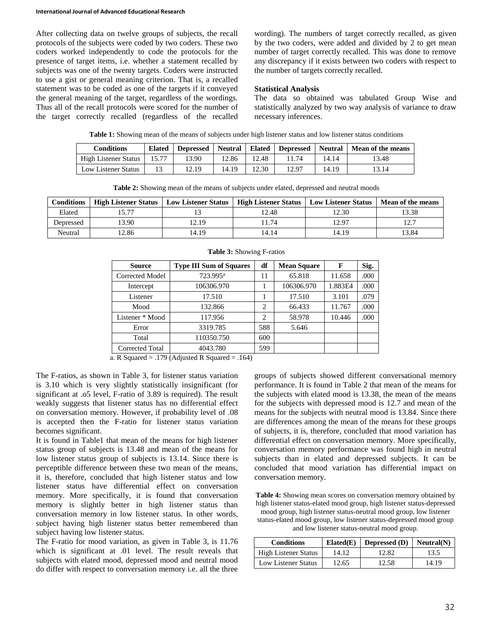After collecting data on twelve groups of subjects, the recall protocols of the subjects were coded by two coders. These two coders worked independently to code the protocols for the presence of target items, i.e. whether a statement recalled by subjects was one of the twenty targets. Coders were instructed to use a gist or general meaning criterion. That is, a recalled statement was to be coded as one of the targets if it conveyed the general meaning of the target, regardless of the wordings. Thus all of the recall protocols were scored for the number of the target correctly recalled (regardless of the recalled

wording). The numbers of target correctly recalled, as given by the two coders, were added and divided by 2 to get mean number of target correctly recalled. This was done to remove any discrepancy if it exists between two coders with respect to the number of targets correctly recalled.

#### **Statistical Analysis**

The data so obtained was tabulated Group Wise and statistically analyzed by two way analysis of variance to draw necessary inferences.

**Table 1:** Showing mean of the means of subjects under high listener status and low listener status conditions

| <b>Conditions</b>    | <b>Elated</b> | <b>Depressed</b> | Neutral   Elated |       | <b>Depressed</b> | <b>Neutral</b> | Mean of the means |
|----------------------|---------------|------------------|------------------|-------|------------------|----------------|-------------------|
| High Listener Status | 15.77         | 13.90            | 2.86             | 12.48 | 11.74            | 14.14          | 13.48             |
| Low Listener Status  |               | 12.19            | 14.19            | 12.30 | 12.97            | 14.19          | 13.14             |

| <b>Table 2.</b> Showing mean of the means of subjects ander clated, depressed and heating moods |                             |                            |                                                                |       |       |  |
|-------------------------------------------------------------------------------------------------|-----------------------------|----------------------------|----------------------------------------------------------------|-------|-------|--|
| <b>Conditions</b>                                                                               | <b>High Listener Status</b> | <b>Low Listener Status</b> | High Listener Status   Low Listener Status   Mean of the means |       |       |  |
| Elated                                                                                          |                             |                            | 12.48                                                          | 12.30 | 13.38 |  |
| Depressed                                                                                       | 13.90                       | 12.19                      | 1.74                                                           | 12.97 | 177   |  |
| Neutral                                                                                         | 12.86                       | 14.19                      | 14.14                                                          | 14.19 | 13.84 |  |

**Table 2:** Showing mean of the means of subjects under elated, depressed and neutral moods

| <b>Source</b>          | <b>Type III Sum of Squares</b> | df  | <b>Mean Square</b> | F       | Sig. |
|------------------------|--------------------------------|-----|--------------------|---------|------|
| Corrected Model        | 723.995 <sup>a</sup>           | 11  | 65.818             | 11.658  | .000 |
| Intercept              | 106306.970                     |     | 106306.970         | 1.883E4 | .000 |
| Listener               | 17.510                         |     | 17.510             | 3.101   | .079 |
| Mood                   | 132.866                        | 2   | 66.433             | 11.767  | .000 |
| Listener * Mood        | 117.956                        | 2   | 58.978             | 10.446  | .000 |
| Error                  | 3319.785                       | 588 | 5.646              |         |      |
| Total                  | 110350.750                     | 600 |                    |         |      |
| <b>Corrected Total</b> | 4043.780                       | 599 |                    |         |      |

#### **Table 3:** Showing F-ratios

a. R Squared = .179 (Adjusted R Squared = .164)

The F-ratios, as shown in Table 3, for listener status variation is 3.10 which is very slightly statistically insignificant (for significant at .o5 level, F-ratio of 3.89 is required). The result weakly suggests that listener status has no differential effect on conversation memory. However, if probability level of .08 is accepted then the F-ratio for listener status variation becomes significant.

It is found in Table1 that mean of the means for high listener status group of subjects is 13.48 and mean of the means for low listener status group of subjects is 13.14. Since there is perceptible difference between these two mean of the means, it is, therefore, concluded that high listener status and low listener status have differential effect on conversation memory. More specifically, it is found that conversation memory is slightly better in high listener status than conversation memory in low listener status. In other words, subject having high listener status better remembered than subject having low listener status.

The F-ratio for mood variation, as given in Table 3, is 11.76 which is significant at .01 level. The result reveals that subjects with elated mood, depressed mood and neutral mood do differ with respect to conversation memory i.e. all the three

groups of subjects showed different conversational memory performance. It is found in Table 2 that mean of the means for the subjects with elated mood is 13.38, the mean of the means for the subjects with depressed mood is 12.7 and mean of the means for the subjects with neutral mood is 13.84. Since there are differences among the mean of the means for these groups of subjects, it is, therefore, concluded that mood variation has differential effect on conversation memory. More specifically, conversation memory performance was found high in neutral subjects than in elated and depressed subjects. It can be concluded that mood variation has differential impact on conversation memory.

**Table 4:** Showing mean scores on conversation memory obtained by high listener status-elated mood group, high listener status-depressed mood group, high listener status-neutral mood group, low listener

status-elated mood group, low listener status-depressed mood group and low listener status-neutral mood group.

| <b>Conditions</b>           | Elated(E) | <b>Depressed</b> (D) | Neutral(N) |
|-----------------------------|-----------|----------------------|------------|
| <b>High Listener Status</b> | 14.12     | 12.82                | 13.5       |
| Low Listener Status         | 12.65     | 12.58                | 14.19      |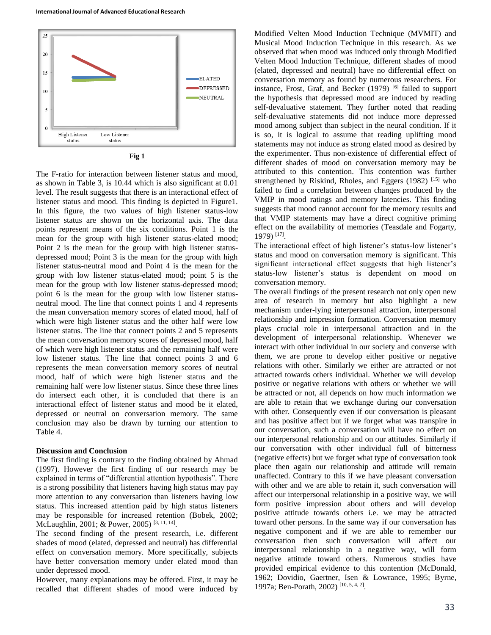



The F-ratio for interaction between listener status and mood, as shown in Table 3, is 10.44 which is also significant at 0.01 level. The result suggests that there is an interactional effect of listener status and mood. This finding is depicted in Figure1. In this figure, the two values of high listener status-low listener status are shown on the horizontal axis. The data points represent means of the six conditions. Point 1 is the mean for the group with high listener status-elated mood; Point 2 is the mean for the group with high listener statusdepressed mood; Point 3 is the mean for the group with high listener status-neutral mood and Point 4 is the mean for the group with low listener status-elated mood; point 5 is the mean for the group with low listener status-depressed mood; point 6 is the mean for the group with low listener statusneutral mood. The line that connect points 1 and 4 represents the mean conversation memory scores of elated mood, half of which were high listener status and the other half were low listener status. The line that connect points 2 and 5 represents the mean conversation memory scores of depressed mood, half of which were high listener status and the remaining half were low listener status. The line that connect points 3 and 6 represents the mean conversation memory scores of neutral mood, half of which were high listener status and the remaining half were low listener status. Since these three lines do intersect each other, it is concluded that there is an interactional effect of listener status and mood be it elated, depressed or neutral on conversation memory. The same conclusion may also be drawn by turning our attention to Table 4.

#### **Discussion and Conclusion**

The first finding is contrary to the finding obtained by Ahmad (1997). However the first finding of our research may be explained in terms of "differential attention hypothesis". There is a strong possibility that listeners having high status may pay more attention to any conversation than listeners having low status. This increased attention paid by high status listeners may be responsible for increased retention (Bobek, 2002; McLaughlin, 2001; & Power, 2005)<sup>[3, 11, 14]</sup>.

The second finding of the present research, i.e. different shades of mood (elated, depressed and neutral) has differential effect on conversation memory. More specifically, subjects have better conversation memory under elated mood than under depressed mood.

However, many explanations may be offered. First, it may be recalled that different shades of mood were induced by

Modified Velten Mood Induction Technique (MVMIT) and Musical Mood Induction Technique in this research. As we observed that when mood was induced only through Modified Velten Mood Induction Technique, different shades of mood (elated, depressed and neutral) have no differential effect on conversation memory as found by numerous researchers. For instance, Frost, Graf, and Becker (1979) <sup>[6]</sup> failed to support the hypothesis that depressed mood are induced by reading self-devaluative statement. They further noted that reading self-devaluative statements did not induce more depressed mood among subject than subject in the neural condition. If it is so, it is logical to assume that reading uplifting mood statements may not induce as strong elated mood as desired by the experimenter. Thus non-existence of differential effect of different shades of mood on conversation memory may be attributed to this contention. This contention was further strengthened by Riskind, Rholes, and Eggers  $(1982)$ <sup>[15]</sup> who failed to find a correlation between changes produced by the VMIP in mood ratings and memory latencies. This finding suggests that mood cannot account for the memory results and that VMIP statements may have a direct cognitive priming effect on the availability of memories (Teasdale and Fogarty, 1979) [17] .

The interactional effect of high listener's status-low listener's status and mood on conversation memory is significant. This significant interactional effect suggests that high listener's status-low listener's status is dependent on mood on conversation memory.

The overall findings of the present research not only open new area of research in memory but also highlight a new mechanism under-lying interpersonal attraction, interpersonal relationship and impression formation. Conversation memory plays crucial role in interpersonal attraction and in the development of interpersonal relationship. Whenever we interact with other individual in our society and converse with them, we are prone to develop either positive or negative relations with other. Similarly we either are attracted or not attracted towards others individual. Whether we will develop positive or negative relations with others or whether we will be attracted or not, all depends on how much information we are able to retain that we exchange during our conversation with other. Consequently even if our conversation is pleasant and has positive affect but if we forget what was transpire in our conversation, such a conversation will have no effect on our interpersonal relationship and on our attitudes. Similarly if our conversation with other individual full of bitterness (negative effects) but we forget what type of conversation took place then again our relationship and attitude will remain unaffected. Contrary to this if we have pleasant conversation with other and we are able to retain it, such conversation will affect our interpersonal relationship in a positive way, we will form positive impression about others and will develop positive attitude towards others i.e. we may be attracted toward other persons. In the same way if our conversation has negative component and if we are able to remember our conversation then such conversation will affect our interpersonal relationship in a negative way, will form negative attitude toward others. Numerous studies have provided empirical evidence to this contention (McDonald, 1962; Dovidio, Gaertner, Isen & Lowrance, 1995; Byrne, 1997a; Ben-Porath, 2002) [10, 5, 4, 2] .